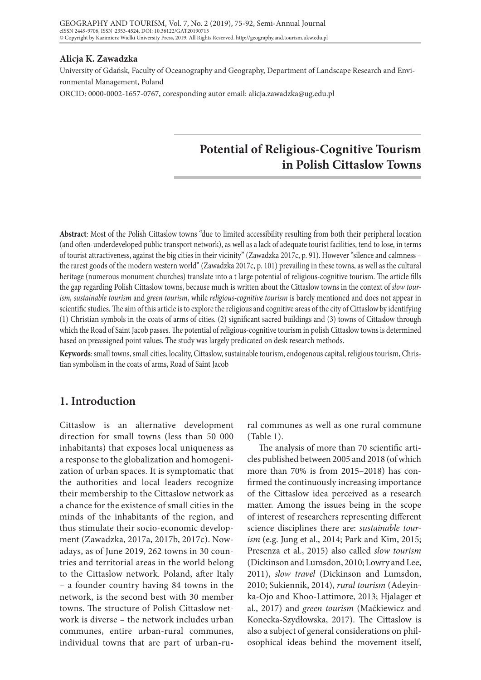#### **Alicja K. Zawadzka**

University of Gdańsk, Faculty of Oceanography and Geography, Department of Landscape Research and Environmental Management, Poland ORCID: 0000-0002-1657-0767, coresponding autor email: alicja.zawadzka@ug.edu.pl

# **Potential of Religious-Cognitive Tourism in Polish Cittaslow Towns**

**Abstract**: Most of the Polish Cittaslow towns "due to limited accessibility resulting from both their peripheral location (and often-underdeveloped public transport network), as well as a lack of adequate tourist facilities, tend to lose, in terms of tourist attractiveness, against the big cities in their vicinity" (Zawadzka 2017c, p. 91). However "silence and calmness – the rarest goods of the modern western world" (Zawadzka 2017c, p. 101) prevailing in these towns, as well as the cultural heritage (numerous monument churches) translate into a t large potential of religious-cognitive tourism. The article fills the gap regarding Polish Cittaslow towns, because much is written about the Cittaslow towns in the context of *slow tourism, sustainable tourism* and *green tourism*, while *religious-cognitive tourism* is barely mentioned and does not appear in scientific studies. The aim of this article is to explore the religious and cognitive areas of the city of Cittaslow by identifying (1) Christian symbols in the coats of arms of cities. (2) significant sacred buildings and (3) towns of Cittaslow through which the Road of Saint Jacob passes. The potential of religious-cognitive tourism in polish Cittaslow towns is determined based on preassigned point values. The study was largely predicated on desk research methods.

**Keywords**: small towns, small cities, locality, Cittaslow, sustainable tourism, endogenous capital, religious tourism, Christian symbolism in the coats of arms, Road of Saint Jacob

## **1. Introduction**

Cittaslow is an alternative development direction for small towns (less than 50 000 inhabitants) that exposes local uniqueness as a response to the globalization and homogenization of urban spaces. It is symptomatic that the authorities and local leaders recognize their membership to the Cittaslow network as a chance for the existence of small cities in the minds of the inhabitants of the region, and thus stimulate their socio-economic development (Zawadzka, 2017a, 2017b, 2017c). Nowadays, as of June 2019, 262 towns in 30 countries and territorial areas in the world belong to the Cittaslow network. Poland, after Italy – a founder country having 84 towns in the network, is the second best with 30 member towns. The structure of Polish Cittaslow network is diverse – the network includes urban communes, entire urban-rural communes, individual towns that are part of urban-ru-

ral communes as well as one rural commune (Table 1).

The analysis of more than 70 scientific articles published between 2005 and 2018 (of which more than 70% is from 2015–2018) has confirmed the continuously increasing importance of the Cittaslow idea perceived as a research matter. Among the issues being in the scope of interest of researchers representing different science disciplines there are: *sustainable tourism* (e.g. Jung et al., 2014; Park and Kim, 2015; Presenza et al., 2015) also called *slow tourism* (Dickinson and Lumsdon, 2010; Lowry and Lee, 2011), *slow travel* (Dickinson and Lumsdon, 2010; Sukiennik, 2014), *rural tourism* (Adeyinka-Ojo and Khoo-Lattimore, 2013; Hjalager et al., 2017) and *green tourism* (Maćkiewicz and Konecka-Szydłowska, 2017). The Cittaslow is also a subject of general considerations on philosophical ideas behind the movement itself,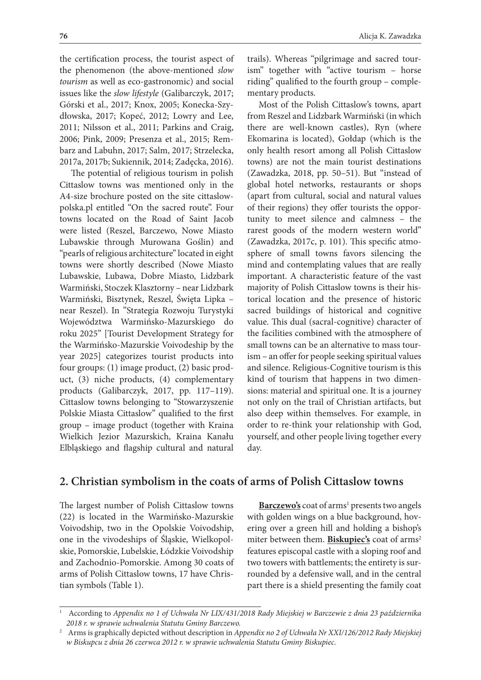the certification process, the tourist aspect of the phenomenon (the above-mentioned *slow tourism* as well as eco-gastronomic) and social issues like the *slow lifestyle* (Galibarczyk, 2017; Górski et al., 2017; Knox, 2005; Konecka-Szydłowska, 2017; Kopeć, 2012; Lowry and Lee, 2011; Nilsson et al., 2011; Parkins and Craig, 2006; Pink, 2009; Presenza et al., 2015; Rembarz and Labuhn, 2017; Salm, 2017; Strzelecka, 2017a, 2017b; Sukiennik, 2014; Zadęcka, 2016).

The potential of religious tourism in polish Cittaslow towns was mentioned only in the A4-size brochure posted on the site cittaslowpolska.pl entitled "On the sacred route". Four towns located on the Road of Saint Jacob were listed (Reszel, Barczewo, Nowe Miasto Lubawskie through Murowana Goślin) and "pearls of religious architecture" located in eight towns were shortly described (Nowe Miasto Lubawskie, Lubawa, Dobre Miasto, Lidzbark Warmiński, Stoczek Klasztorny – near Lidzbark Warmiński, Bisztynek, Reszel, Święta Lipka – near Reszel). In "Strategia Rozwoju Turystyki Województwa Warmińsko-Mazurskiego do roku 2025" [Tourist Development Strategy for the Warmińsko-Mazurskie Voivodeship by the year 2025] categorizes tourist products into four groups: (1) image product, (2) basic product, (3) niche products, (4) complementary products (Galibarczyk, 2017, pp. 117–119). Cittaslow towns belonging to "Stowarzyszenie Polskie Miasta Cittaslow" qualified to the first group – image product (together with Kraina Wielkich Jezior Mazurskich, Kraina Kanału Elbląskiego and flagship cultural and natural

trails). Whereas "pilgrimage and sacred tourism" together with "active tourism – horse riding" qualified to the fourth group – complementary products.

Most of the Polish Cittaslow's towns, apart from Reszel and Lidzbark Warmiński (in which there are well-known castles), Ryn (where Ekomarina is located), Gołdap (which is the only health resort among all Polish Cittaslow towns) are not the main tourist destinations (Zawadzka, 2018, pp. 50–51). But "instead of global hotel networks, restaurants or shops (apart from cultural, social and natural values of their regions) they offer tourists the opportunity to meet silence and calmness – the rarest goods of the modern western world" (Zawadzka, 2017c, p. 101). This specific atmosphere of small towns favors silencing the mind and contemplating values that are really important. A characteristic feature of the vast majority of Polish Cittaslow towns is their historical location and the presence of historic sacred buildings of historical and cognitive value. This dual (sacral-cognitive) character of the facilities combined with the atmosphere of small towns can be an alternative to mass tourism – an offer for people seeking spiritual values and silence. Religious-Cognitive tourism is this kind of tourism that happens in two dimensions: material and spiritual one. It is a journey not only on the trail of Christian artifacts, but also deep within themselves. For example, in order to re-think your relationship with God, yourself, and other people living together every day.

# **2. Christian symbolism in the coats of arms of Polish Cittaslow towns**

The largest number of Polish Cittaslow towns (22) is located in the Warmińsko-Mazurskie Voivodship, two in the Opolskie Voivodship, one in the vivodeships of Śląskie, Wielkopolskie, Pomorskie, Lubelskie, Łódzkie Voivodship and Zachodnio-Pomorskie. Among 30 coats of arms of Polish Cittaslow towns, 17 have Christian symbols (Table 1).

Barczewo's coat of arms<sup>1</sup> presents two angels with golden wings on a blue background, hovering over a green hill and holding a bishop's miter between them. **Biskupiec's** coat of arms<sup>2</sup> features episcopal castle with a sloping roof and two towers with battlements; the entirety is surrounded by a defensive wall, and in the central part there is a shield presenting the family coat

<sup>1</sup> According to *Appendix no 1 of Uchwała Nr LIX/431/2018 Rady Miejskiej w Barczewie z dnia 23 października 2018 r. w sprawie uchwalenia Statutu Gminy Barczewo.*

<sup>2</sup> Arms is graphically depicted without description in *Appendix no 2 of Uchwała Nr XXI/126/2012 Rady Miejskiej w Biskupcu z dnia 26 czerwca 2012 r. w sprawie uchwalenia Statutu Gminy Biskupiec*.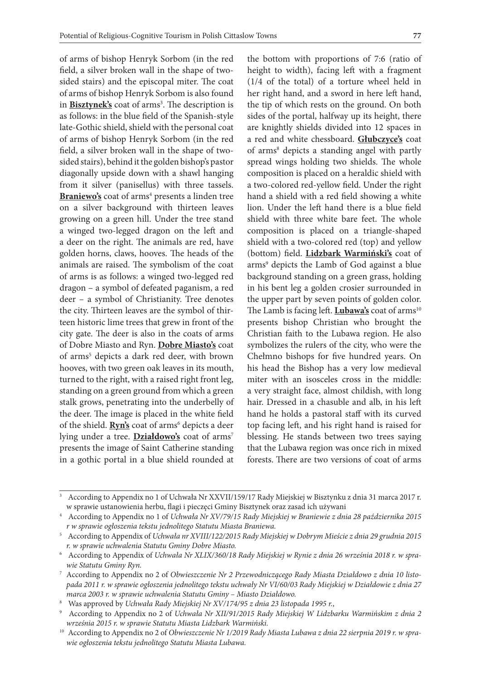of arms of bishop Henryk Sorbom (in the red field, a silver broken wall in the shape of twosided stairs) and the episcopal miter. The coat of arms of bishop Henryk Sorbom is also found in **Bisztynek's** coat of arms<sup>3</sup>. The description is as follows: in the blue field of the Spanish-style late-Gothic shield, shield with the personal coat of arms of bishop Henryk Sorbom (in the red field, a silver broken wall in the shape of twosided stairs), behind it the golden bishop's pastor diagonally upside down with a shawl hanging from it silver (panisellus) with three tassels. Braniewo's coat of arms<sup>4</sup> presents a linden tree on a silver background with thirteen leaves growing on a green hill. Under the tree stand a winged two-legged dragon on the left and a deer on the right. The animals are red, have golden horns, claws, hooves. The heads of the animals are raised. The symbolism of the coat of arms is as follows: a winged two-legged red dragon – a symbol of defeated paganism, a red deer – a symbol of Christianity. Tree denotes the city. Thirteen leaves are the symbol of thirteen historic lime trees that grew in front of the city gate. The deer is also in the coats of arms of Dobre Miasto and Ryn. **Dobre Miasto's** coat of arms<sup>5</sup> depicts a dark red deer, with brown hooves, with two green oak leaves in its mouth, turned to the right, with a raised right front leg, standing on a green ground from which a green stalk grows, penetrating into the underbelly of the deer. The image is placed in the white field of the shield. **Ryn's** coat of arms<sup>6</sup> depicts a deer lying under a tree. **Działdowo's** coat of arms<sup>7</sup> presents the image of Saint Catherine standing in a gothic portal in a blue shield rounded at

the bottom with proportions of 7:6 (ratio of height to width), facing left with a fragment (1/4 of the total) of a torture wheel held in her right hand, and a sword in here left hand, the tip of which rests on the ground. On both sides of the portal, halfway up its height, there are knightly shields divided into 12 spaces in a red and white chessboard. **Głubczyce's** coat of arms<sup>8</sup> depicts a standing angel with partly spread wings holding two shields. The whole composition is placed on a heraldic shield with a two-colored red-yellow field. Under the right hand a shield with a red field showing a white lion. Under the left hand there is a blue field shield with three white bare feet. The whole composition is placed on a triangle-shaped shield with a two-colored red (top) and yellow (bottom) field. **Lidzbark Warmiński's** coat of arms<sup>9</sup> depicts the Lamb of God against a blue background standing on a green grass, holding in his bent leg a golden crosier surrounded in the upper part by seven points of golden color. The Lamb is facing left. **Lubawa's** coat of arms<sup>10</sup> presents bishop Christian who brought the Christian faith to the Lubawa region. He also symbolizes the rulers of the city, who were the Chełmno bishops for five hundred years. On his head the Bishop has a very low medieval miter with an isosceles cross in the middle: a very straight face, almost childish, with long hair. Dressed in a chasuble and alb, in his left hand he holds a pastoral staff with its curved top facing left, and his right hand is raised for blessing. He stands between two trees saying that the Lubawa region was once rich in mixed forests. There are two versions of coat of arms

<sup>3</sup> According to Appendix no 1 of Uchwała Nr XXVII/159/17 Rady Miejskiej w Bisztynku z dnia 31 marca 2017 r. w sprawie ustanowienia herbu, flagi i pieczęci Gminy Bisztynek oraz zasad ich używani

<sup>4</sup> According to Appendix no 1 of *Uchwała Nr XV/79/15 Rady Miejskiej w Braniewie z dnia 28 października 2015 r w sprawie ogłoszenia tekstu jednolitego Statutu Miasta Braniewa.*

<sup>5</sup> According to Appendix of *Uchwała nr XVIII/122/2015 Rady Miejskiej w Dobrym Mieście z dnia 29 grudnia 2015 r. w sprawie uchwalenia Statutu Gminy Dobre Miasto.*

<sup>6</sup> According to Appendix of *Uchwała Nr XLIX/360/18 Rady Miejskiej w Rynie z dnia 26 września 2018 r. w sprawie Statutu Gminy Ryn.*

<sup>7</sup> According to Appendix no 2 of *Obwieszczenie Nr 2 Przewodniczącego Rady Miasta Działdowo z dnia 10 listopada 2011 r. w sprawie ogłoszenia jednolitego tekstu uchwały Nr VI/60/03 Rady Miejskiej w Działdowie z dnia 27 marca 2003 r. w sprawie uchwalenia Statutu Gminy – Miasto Działdowo.*

<sup>8</sup> Was approved by *Uchwała Rady Miejskiej Nr XV/174/95 z dnia 23 listopada 1995 r.*,

<sup>9</sup> According to Appendix no 2 of *Uchwała Nr XII/91/2015 Rady Miejskiej W Lidzbarku Warmińskim z dnia 2 września 2015 r. w sprawie Statutu Miasta Lidzbark Warmiński.*

<sup>&</sup>lt;sup>10</sup> According to Appendix no 2 of Obwieszczenie Nr 1/2019 Rady Miasta Lubawa z dnia 22 sierpnia 2019 r. w spra*wie ogłoszenia tekstu jednolitego Statutu Miasta Lubawa.*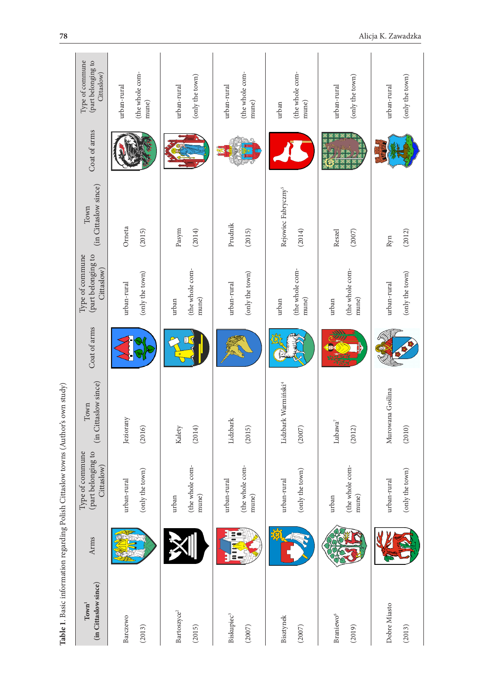| $\Lambda$ The Change Control of the<br>֖֖֖֖֖֖֖֧ׅ֪ׅ֖֧֧֚֚֚֚֚֚֚֚֚֚֚֚֚֚֚֚֚֚֚֚֚֚֚֚֚֬֝֓֞֝֓֞֝֬                                                      |  |
|----------------------------------------------------------------------------------------------------------------------------------------------|--|
| ֧֦֧֦֧֦֧֧֧֧֪ׅ֧֪֪֪ׅ֧֧֧֚֚֚֚֚֚֚֚֚֚֚֚֚֚֚֚֚֚֝֝֝֝֬֝֬֝֬֝֬֝֬֝֬֝֬֓֝֬֝֬֝<br>$-24.0$ $-2.0$ $-1.0$ $-0.0$<br>د احمد ۲۰۰۰<br>)<br>}<br>$\frac{1}{2}$<br>֚ |  |
| ׇ֚֓<br>י<br>ול<br>ו                                                                                                                          |  |
| - 1.4 mm の の にんじょう しょうかん しゅうしょう しゅうしゅう しゅうしゅう しゅうしゅう しゅうしゅう しゅうしゅう しゅうしゅう しゅうしゅう しゅうしゅう                                                      |  |
| ۱<br>֖֖֖֧ׅ֖֖֧֧֖֧֖֧֚֚֚֚֚֚֚֚֚֚֚֚֚֚֚֚֚֚֚֚֚֚֚֚֚֚֚֚֚֚֚֚֚֚֚֚֡֝֝֓֞֝֬֞֝֬֝֬                                                                           |  |
| le I. Ba                                                                                                                                     |  |
|                                                                                                                                              |  |
|                                                                                                                                              |  |

| 78                                                                               |                                                     |                                         |                                   |                                         |                                           |                                   | Alicja K. Zawadzka                                   |
|----------------------------------------------------------------------------------|-----------------------------------------------------|-----------------------------------------|-----------------------------------|-----------------------------------------|-------------------------------------------|-----------------------------------|------------------------------------------------------|
|                                                                                  | Type of commune<br>(part belonging to<br>Cittaslow) | (the whole com-<br>urban-rural<br>mune) | (only the town)<br>urban-rural    | (the whole com-<br>urban-rural<br>mune) | (the whole com-<br>mune)<br>urban         | (only the town)<br>urban-rural    | $\left( \text{only the town} \right)$<br>urban-rural |
|                                                                                  | Coat of arms                                        |                                         |                                   |                                         |                                           |                                   |                                                      |
|                                                                                  | (in Cittaslow since)<br>Town                        | Orneta<br>(2015)                        | Pasym<br>(2014)                   | Prudnik<br>(2015)                       | Rejowiec Fabryczny <sup>5</sup><br>(2014) | (2007)<br>Reszel                  | (2012)<br>Ryn                                        |
|                                                                                  | Type of commune<br>(part belonging to<br>Cittaslow) | (only the town)<br>urban-rural          | (the whole com-<br>mune)<br>urban | (only the town)<br>urban-rural          | (the whole com-<br>mune)<br>urban         | (the whole com-<br>mune)<br>urban | (only the town)<br>urban-rural                       |
|                                                                                  | Coat of arms                                        |                                         |                                   |                                         |                                           |                                   |                                                      |
|                                                                                  | (in Cittaslow since)<br>Town                        | Jeziorany<br>(2016)                     | Kalety<br>(2014)                  | Lidzbark<br>(2015)                      | Lidzbark Warmiński <sup>4</sup><br>(2007) | Lubawa <sup>7</sup><br>(2012)     | $\overline{a}$<br>Murowana Goślin<br>(2010)          |
|                                                                                  | (part belonging to<br>Type of commune<br>Cittaslow) | (only the town)<br>urban-rural          | (the whole com-<br>mune)<br>urban | (the whole com-<br>urban-rural<br>mune) | (only the town)<br>urban-rural            | (the whole com-<br>mune)<br>urban | (only the town)<br>urban-rural                       |
|                                                                                  | Arms                                                |                                         |                                   | EC<br>Ξ                                 |                                           |                                   |                                                      |
| Table 1. Basic information regarding Polish Cittaslow towns (Author's own study) | (in Cittaslow since)<br>Town <sup>1</sup>           | Barczewo<br>(2013)                      | Bartoszyce <sup>2</sup><br>(2015) | Biskupiec <sup>3</sup><br>(2007)        | Bisztynek<br>(2007)                       | Braniewo <sup>6</sup><br>(2019)   | Dobre Miasto<br>(2013)                               |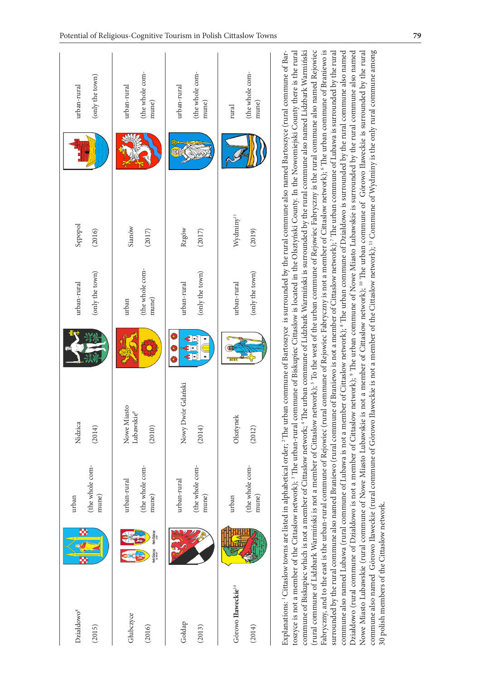| Działdowo <sup>8</sup><br>(2015)                                                                                  | æ                                     | (the whole com-<br>mune)<br>urban       | Nidzica<br>(2014)                                                                                                                                                                                                                                                                                                                                                                                                                                                                                                                                                                                                                                                                                                                                                                                                                                                                                                                                                                                                                                                                                                                                                                                                                                                                                                                                                                                                                                                                                                                                                                                                                                                                                                                                                   |   | (only the town)<br>urban-rural    | Sepopol<br>(2016)               | (only the town)<br>urban-rural                                                                                  |
|-------------------------------------------------------------------------------------------------------------------|---------------------------------------|-----------------------------------------|---------------------------------------------------------------------------------------------------------------------------------------------------------------------------------------------------------------------------------------------------------------------------------------------------------------------------------------------------------------------------------------------------------------------------------------------------------------------------------------------------------------------------------------------------------------------------------------------------------------------------------------------------------------------------------------------------------------------------------------------------------------------------------------------------------------------------------------------------------------------------------------------------------------------------------------------------------------------------------------------------------------------------------------------------------------------------------------------------------------------------------------------------------------------------------------------------------------------------------------------------------------------------------------------------------------------------------------------------------------------------------------------------------------------------------------------------------------------------------------------------------------------------------------------------------------------------------------------------------------------------------------------------------------------------------------------------------------------------------------------------------------------|---|-----------------------------------|---------------------------------|-----------------------------------------------------------------------------------------------------------------|
| Glubczyce<br>(2016)                                                                                               | Herb Glubczyc<br><b>Terb Glubczyc</b> | (the whole com-<br>urban-rural<br>mune) | Nowe Miasto<br>Lubawskie <sup>9</sup><br>(2010)                                                                                                                                                                                                                                                                                                                                                                                                                                                                                                                                                                                                                                                                                                                                                                                                                                                                                                                                                                                                                                                                                                                                                                                                                                                                                                                                                                                                                                                                                                                                                                                                                                                                                                                     |   | (the whole com-<br>mune)<br>urban | Sianów<br>(2017)                | (the whole com-<br>urban-rural<br>mune)                                                                         |
| Goldap<br>(2013)                                                                                                  |                                       | (the whole com-<br>urban-rural<br>mune) | Nowy Dwór Gdański<br>(2014)                                                                                                                                                                                                                                                                                                                                                                                                                                                                                                                                                                                                                                                                                                                                                                                                                                                                                                                                                                                                                                                                                                                                                                                                                                                                                                                                                                                                                                                                                                                                                                                                                                                                                                                                         | € | (only the town)<br>urban-rural    | Rzgów<br>(2017)                 | (the whole com-<br>urban-rural<br>mune)                                                                         |
| Górowo Haweckie <sup>10</sup><br>(2014)                                                                           |                                       | (the whole com-<br>mune)<br>urban       | Olsztynek<br>(2012)                                                                                                                                                                                                                                                                                                                                                                                                                                                                                                                                                                                                                                                                                                                                                                                                                                                                                                                                                                                                                                                                                                                                                                                                                                                                                                                                                                                                                                                                                                                                                                                                                                                                                                                                                 |   | (only the town)<br>urban-rural    | Wydminy <sup>11</sup><br>(2019) | (the whole com-<br>mune)<br>$_{\rm rural}$                                                                      |
| Działdowo (rural commune of Działdowo is not a member of Cittaslow<br>30 polish members of the Cittaslow network. |                                       |                                         | commune also named Górowo Iławeckie (rural commune of Górowo Iławeckie is not a member of the Cittaslow network); <sup>11</sup> Commune of Wydminy is the only rural commune among<br>(rural commune of Lidzbark Warmiński is not a member of Cittaslow network); <sup>5</sup> To the west of the urban commune of Rejowiec Fabryczny is the rural commune also named Rejowiec<br>commune of Biskupiec which is not a member of Cittaslow network; <sup>4</sup> The urban commune of Lidzbark Warmiński is surrounded by the rural commune also named Lidzbark Warmiński<br>Fabryczny, and to the east is the urban-rural commune of Rejowiec (rural commune of Rejowiec Fabryczny is not a member of Cittaslow network); <sup>6</sup> The urban commune of Braniewo is<br>Nowe Miasto Lubawskie (rural commune of Nowe Miasto Lubawskie is not a member of Cittaslow network); <sup>10</sup> The urban commune of Górowo Iławeckie is surrounded by the rural<br>Explanations: <sup>1</sup> Cittaslow towns are listed in alphabetical order; <sup>2</sup> The urban commune of Bartoszyce is surrounded by the rural commune also named Bartoszyce (rural commune of Bar-<br>toszyce is not a member of the Cittaslow network); <sup>3</sup> The urban-rural commune of Biskupiec Cittaslow is located in the Olsztyński County. In the Nowomiejski County there is the rural<br>surrounded by the rural commune also named Braniewo (rural commune of Braniewo is not a member of Cittaslow network); <sup>7</sup> The urban commune of Lubawa is surrounded by the rural<br>commune also named Lubawa (rural commune of Lubawa is not a member of Cittaslow network); <sup>8</sup> The urban commune of Działdowo is surrounded by the rural commune also named |   |                                   |                                 | network); <sup>9</sup> The urban commune of Nowe Miasto Lubawskie is surrounded by the rural commune also named |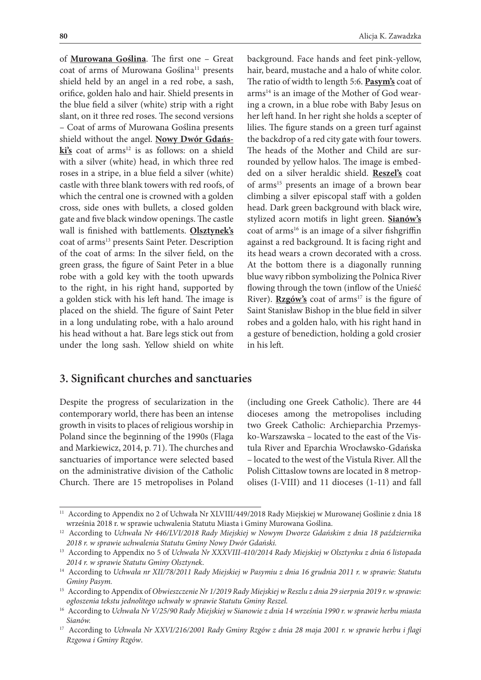of **Murowana Goślina**. The first one – Great coat of arms of Murowana Goślina<sup>11</sup> presents shield held by an angel in a red robe, a sash, orifice, golden halo and hair. Shield presents in the blue field a silver (white) strip with a right slant, on it three red roses. The second versions – Coat of arms of Murowana Goślina presents shield without the angel. **Nowy Dwór Gdańs**ki's coat of arms<sup>12</sup> is as follows: on a shield with a silver (white) head, in which three red roses in a stripe, in a blue field a silver (white) castle with three blank towers with red roofs, of which the central one is crowned with a golden cross, side ones with bullets, a closed golden gate and five black window openings. The castle wall is finished with battlements. **Olsztynek's** coat of arms<sup>13</sup> presents Saint Peter. Description of the coat of arms: In the silver field, on the green grass, the figure of Saint Peter in a blue robe with a gold key with the tooth upwards to the right, in his right hand, supported by a golden stick with his left hand. The image is placed on the shield. The figure of Saint Peter in a long undulating robe, with a halo around his head without a hat. Bare legs stick out from under the long sash. Yellow shield on white

background. Face hands and feet pink-yellow, hair, beard, mustache and a halo of white color. The ratio of width to length 5:6. **Pasym's** coat of arms<sup>14</sup> is an image of the Mother of God wearing a crown, in a blue robe with Baby Jesus on her left hand. In her right she holds a scepter of lilies. The figure stands on a green turf against the backdrop of a red city gate with four towers. The heads of the Mother and Child are surrounded by yellow halos. The image is embedded on a silver heraldic shield. **Reszel's** coat of arms15 presents an image of a brown bear climbing a silver episcopal staff with a golden head. Dark green background with black wire, stylized acorn motifs in light green. **Sianów's** coat of arms<sup>16</sup> is an image of a silver fishgriffin against a red background. It is facing right and its head wears a crown decorated with a cross. At the bottom there is a diagonally running blue wavy ribbon symbolizing the Polnica River flowing through the town (inflow of the Unieść River). **Rzgów's** coat of arms<sup>17</sup> is the figure of Saint Stanisław Bishop in the blue field in silver robes and a golden halo, with his right hand in a gesture of benediction, holding a gold crosier in his left.

#### **3. Significant churches and sanctuaries**

Despite the progress of secularization in the contemporary world, there has been an intense growth in visits to places of religious worship in Poland since the beginning of the 1990s (Flaga and Markiewicz, 2014, p. 71). The churches and sanctuaries of importance were selected based on the administrative division of the Catholic Church. There are 15 metropolises in Poland

(including one Greek Catholic). There are 44 dioceses among the metropolises including two Greek Catholic: Archieparchia Przemysko-Warszawska – located to the east of the Vistula River and Eparchia Wrocławsko-Gdańska – located to the west of the Vistula River. All the Polish Cittaslow towns are located in 8 metropolises (I-VIII) and 11 dioceses (1-11) and fall

<sup>&</sup>lt;sup>11</sup> According to Appendix no 2 of Uchwała Nr XLVIII/449/2018 Rady Miejskiej w Murowanej Goślinie z dnia 18 września 2018 r. w sprawie uchwalenia Statutu Miasta i Gminy Murowana Goślina.

<sup>12</sup> According to *Uchwała Nr 446/LVI/2018 Rady Miejskiej w Nowym Dworze Gdańskim z dnia 18 października 2018 r. w sprawie uchwalenia Statutu Gminy Nowy Dwór Gdański.*

<sup>13</sup> According to Appendix no 5 of *Uchwała Nr XXXVIII-410/2014 Rady Miejskiej w Olsztynku z dnia 6 listopada 2014 r. w sprawie Statutu Gminy Olsztynek*.

<sup>14</sup> According to *Uchwała nr XII/78/2011 Rady Miejskiej w Pasymiu z dnia 16 grudnia 2011 r. w sprawie: Statutu Gminy Pasym.*

<sup>15</sup> According to Appendix of *Obwieszczenie Nr 1/2019 Rady Miejskiej w Reszlu z dnia 29 sierpnia 2019 r. w sprawie: ogłoszenia tekstu jednolitego uchwały w sprawie Statutu Gminy Reszel.*

<sup>16</sup> According to *Uchwała Nr V/25/90 Rady Miejskiej w Sianowie z dnia 14 września 1990 r. w sprawie herbu miasta Sianów.*

<sup>17</sup> According to *Uchwała Nr XXVI/216/2001 Rady Gminy Rzgów z dnia 28 maja 2001 r. w sprawie herbu i flagi Rzgowa i Gminy Rzgów*.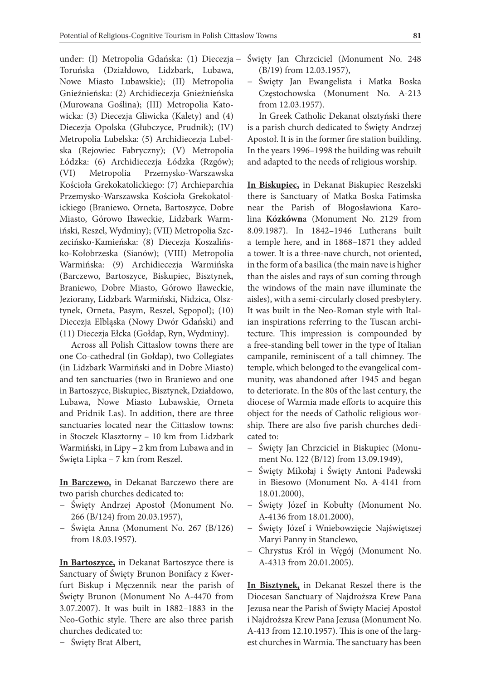under: (I) Metropolia Gdańska: (1) Diecezja Toruńska (Działdowo, Lidzbark, Lubawa, Nowe Miasto Lubawskie); (II) Metropolia Gnieźnieńska: (2) Archidiecezja Gnieźnieńska (Murowana Goślina); (III) Metropolia Katowicka: (3) Diecezja Gliwicka (Kalety) and (4) Diecezja Opolska (Głubczyce, Prudnik); (IV) Metropolia Lubelska: (5) Archidiecezja Lubelska (Rejowiec Fabryczny); (V) Metropolia Łódzka: (6) Archidiecezja Łódzka (Rzgów); (VI) Metropolia Przemysko-Warszawska Kościoła Grekokatolickiego: (7) Archieparchia Przemysko-Warszawska Kościoła Grekokatolickiego (Braniewo, Orneta, Bartoszyce, Dobre Miasto, Górowo Iławeckie, Lidzbark Warmiński, Reszel, Wydminy); (VII) Metropolia Szczecińsko-Kamieńska: (8) Diecezja Koszalińsko-Kołobrzeska (Sianów); (VIII) Metropolia Warmińska: (9) Archidiecezja Warmińska (Barczewo, Bartoszyce, Biskupiec, Bisztynek, Braniewo, Dobre Miasto, Górowo Iławeckie, Jeziorany, Lidzbark Warmiński, Nidzica, Olsztynek, Orneta, Pasym, Reszel, Sępopol); (10) Diecezja Elbląska (Nowy Dwór Gdański) and (11) Diecezja Ełcka (Gołdap, Ryn, Wydminy).

Across all Polish Cittaslow towns there are one Co-cathedral (in Gołdap), two Collegiates (in Lidzbark Warmiński and in Dobre Miasto) and ten sanctuaries (two in Braniewo and one in Bartoszyce, Biskupiec, Bisztynek, Działdowo, Lubawa, Nowe Miasto Lubawskie, Orneta and Pridnik Las). In addition, there are three sanctuaries located near the Cittaslow towns: in Stoczek Klasztorny – 10 km from Lidzbark Warmiński, in Lipy – 2 km from Lubawa and in Święta Lipka – 7 km from Reszel.

**In Barczewo,** in Dekanat Barczewo there are two parish churches dedicated to:

- − Święty Andrzej Apostoł (Monument No. 266 (B/124) from 20.03.1957),
- − Święta Anna (Monument No. 267 (B/126) from 18.03.1957).

**In Bartoszyce,** in Dekanat Bartoszyce there is Sanctuary of Święty Brunon Bonifacy z Kwerfurt Biskup i Męczennik near the parish of Święty Brunon (Monument No A-4470 from 3.07.2007). It was built in 1882–1883 in the Neo-Gothic style. There are also three parish churches dedicated to:

− Święty Brat Albert,

- − Święty Jan Chrzciciel (Monument No. 248 (B/19) from 12.03.1957),
- − Święty Jan Ewangelista i Matka Boska Częstochowska (Monument No. A-213 from 12.03.1957).

In Greek Catholic Dekanat olsztyński there is a parish church dedicated to Święty Andrzej Apostoł. It is in the former fire station building. In the years 1996–1998 the building was rebuilt and adapted to the needs of religious worship.

**In Biskupiec,** in Dekanat Biskupiec Reszelski there is Sanctuary of Matka Boska Fatimska near the Parish of Błogosławiona Karolina **Kózkówn**a (Monument No. 2129 from 8.09.1987). In 1842–1946 Lutherans built a temple here, and in 1868–1871 they added a tower. It is a three-nave church, not oriented, in the form of a basilica (the main nave is higher than the aisles and rays of sun coming through the windows of the main nave illuminate the aisles), with a semi-circularly closed presbytery. It was built in the Neo-Roman style with Italian inspirations referring to the Tuscan architecture. This impression is compounded by a free-standing bell tower in the type of Italian campanile, reminiscent of a tall chimney. The temple, which belonged to the evangelical community, was abandoned after 1945 and began to deteriorate. In the 80s of the last century, the diocese of Warmia made efforts to acquire this object for the needs of Catholic religious worship. There are also five parish churches dedicated to:

- − Święty Jan Chrzciciel in Biskupiec (Monument No. 122 (B/12) from 13.09.1949),
- − Święty Mikołaj i Święty Antoni Padewski in Biesowo (Monument No. A-4141 from 18.01.2000),
- − Święty Józef in Kobułty (Monument No. A-4136 from 18.01.2000),
- − Święty Józef i Wniebowzięcie Najświętszej Maryi Panny in Stanclewo,
- − Chrystus Król in Węgój (Monument No. A-4313 from 20.01.2005).

**In Bisztynek,** in Dekanat Reszel there is the Diocesan Sanctuary of Najdroższa Krew Pana Jezusa near the Parish of Święty Maciej Apostoł i Najdroższa Krew Pana Jezusa (Monument No. A-413 from 12.10.1957). This is one of the largest churches in Warmia. The sanctuary has been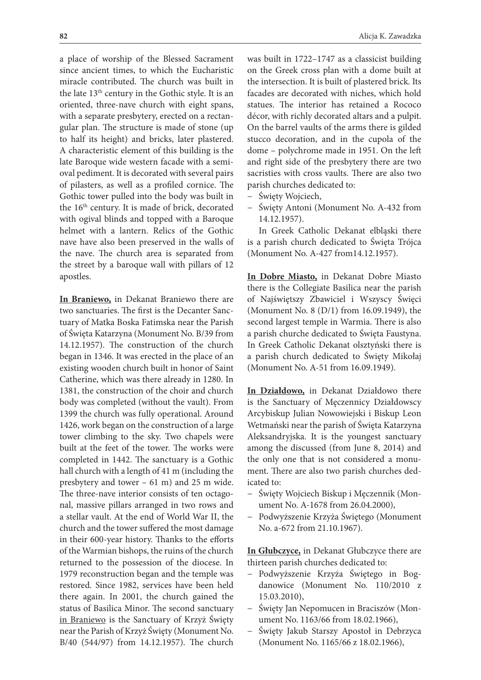a place of worship of the Blessed Sacrament since ancient times, to which the Eucharistic miracle contributed. The church was built in the late 13<sup>th</sup> century in the Gothic style. It is an oriented, three-nave church with eight spans, with a separate presbytery, erected on a rectangular plan. The structure is made of stone (up to half its height) and bricks, later plastered. A characteristic element of this building is the late Baroque wide western facade with a semioval pediment. It is decorated with several pairs of pilasters, as well as a profiled cornice. The Gothic tower pulled into the body was built in the 16<sup>th</sup> century. It is made of brick, decorated with ogival blinds and topped with a Baroque helmet with a lantern. Relics of the Gothic nave have also been preserved in the walls of the nave. The church area is separated from the street by a baroque wall with pillars of 12 apostles.

**In Braniewo,** in Dekanat Braniewo there are two sanctuaries. The first is the Decanter Sanctuary of Matka Boska Fatimska near the Parish of Święta Katarzyna (Monument No. B/39 from 14.12.1957). The construction of the church began in 1346. It was erected in the place of an existing wooden church built in honor of Saint Catherine, which was there already in 1280. In 1381, the construction of the choir and church body was completed (without the vault). From 1399 the church was fully operational. Around 1426, work began on the construction of a large tower climbing to the sky. Two chapels were built at the feet of the tower. The works were completed in 1442. The sanctuary is a Gothic hall church with a length of 41 m (including the presbytery and tower – 61 m) and 25 m wide. The three-nave interior consists of ten octagonal, massive pillars arranged in two rows and a stellar vault. At the end of World War II, the church and the tower suffered the most damage in their 600-year history. Thanks to the efforts of the Warmian bishops, the ruins of the church returned to the possession of the diocese. In 1979 reconstruction began and the temple was restored. Since 1982, services have been held there again. In 2001, the church gained the status of Basilica Minor. The second sanctuary in Braniewo is the Sanctuary of Krzyż Święty near the Parish of Krzyż Święty (Monument No. B/40 (544/97) from 14.12.1957). The church

was built in 1722–1747 as a classicist building on the Greek cross plan with a dome built at the intersection. It is built of plastered brick. Its facades are decorated with niches, which hold statues. The interior has retained a Rococo décor, with richly decorated altars and a pulpit. On the barrel vaults of the arms there is gilded stucco decoration, and in the cupola of the dome – polychrome made in 1951. On the left and right side of the presbytery there are two sacristies with cross vaults. There are also two parish churches dedicated to:

- − Święty Wojciech,
- − Święty Antoni (Monument No. A-432 from 14.12.1957).

In Greek Catholic Dekanat elbląski there is a parish church dedicated to Święta Trójca (Monument No. A-427 from14.12.1957).

**In Dobre Miasto,** in Dekanat Dobre Miasto there is the Collegiate Basilica near the parish of Najświętszy Zbawiciel i Wszyscy Święci (Monument No. 8 (D/1) from 16.09.1949), the second largest temple in Warmia. There is also a parish churche dedicated to Święta Faustyna. In Greek Catholic Dekanat olsztyński there is a parish church dedicated to Święty Mikołaj (Monument No. A-51 from 16.09.1949).

**In Działdowo,** in Dekanat Działdowo there is the Sanctuary of Męczennicy Działdowscy Arcybiskup Julian Nowowiejski i Biskup Leon Wetmański near the parish of Święta Katarzyna Aleksandryjska. It is the youngest sanctuary among the discussed (from June 8, 2014) and the only one that is not considered a monument. There are also two parish churches dedicated to:

- − Święty Wojciech Biskup i Męczennik (Monument No. A-1678 from 26.04.2000),
- − Podwyższenie Krzyża Świętego (Monument No. a-672 from 21.10.1967).

**In Głubczyce,** in Dekanat Głubczyce there are thirteen parish churches dedicated to:

- − Podwyższenie Krzyża Świętego in Bogdanowice (Monument No. 110/2010 z 15.03.2010),
- − Święty Jan Nepomucen in Braciszów (Monument No. 1163/66 from 18.02.1966),
- − Święty Jakub Starszy Apostoł in Debrzyca (Monument No. 1165/66 z 18.02.1966),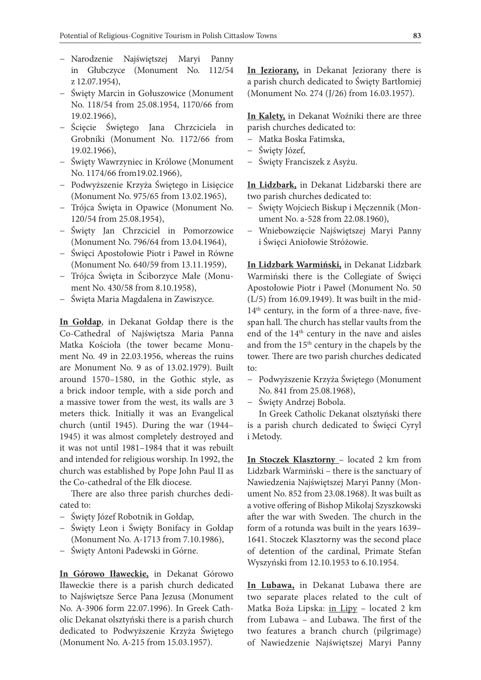- − Narodzenie Najświętszej Maryi Panny in Głubczyce (Monument No. 112/54 z 12.07.1954),
- − Święty Marcin in Gołuszowice (Monument No. 118/54 from 25.08.1954, 1170/66 from 19.02.1966),
- − Ścięcie Świętego Jana Chrzciciela in Grobniki (Monument No. 1172/66 from 19.02.1966),
- − Święty Wawrzyniec in Królowe (Monument No. 1174/66 from19.02.1966),
- − Podwyższenie Krzyża Świętego in Lisięcice (Monument No. 975/65 from 13.02.1965),
- − Trójca Święta in Opawice (Monument No. 120/54 from 25.08.1954),
- − Święty Jan Chrzciciel in Pomorzowice (Monument No. 796/64 from 13.04.1964),
- − Święci Apostołowie Piotr i Paweł in Równe (Monument No. 640/59 from 13.11.1959),
- − Trójca Święta in Ściborzyce Małe (Monument No. 430/58 from 8.10.1958),
- − Święta Maria Magdalena in Zawiszyce.

**In Gołdap**, in Dekanat Gołdap there is the Co-Cathedral of Najświętsza Maria Panna Matka Kościoła (the tower became Monument No. 49 in 22.03.1956, whereas the ruins are Monument No. 9 as of 13.02.1979). Built around 1570–1580, in the Gothic style, as a brick indoor temple, with a side porch and a massive tower from the west, its walls are 3 meters thick. Initially it was an Evangelical church (until 1945). During the war (1944– 1945) it was almost completely destroyed and it was not until 1981–1984 that it was rebuilt and intended for religious worship. In 1992, the church was established by Pope John Paul II as the Co-cathedral of the Ełk diocese.

There are also three parish churches dedicated to:

- − Święty Józef Robotnik in Gołdap,
- − Święty Leon i Święty Bonifacy in Gołdap (Monument No. A-1713 from 7.10.1986),
- − Święty Antoni Padewski in Górne.

**In Górowo Iławeckie,** in Dekanat Górowo Iławeckie there is a parish church dedicated to Najświętsze Serce Pana Jezusa (Monument No. A-3906 form 22.07.1996). In Greek Catholic Dekanat olsztyński there is a parish church dedicated to Podwyższenie Krzyża Świętego (Monument No. A-215 from 15.03.1957).

**In Jeziorany,** in Dekanat Jeziorany there is a parish church dedicated to Święty Bartłomiej (Monument No. 274 (J/26) from 16.03.1957).

**In Kalety,** in Dekanat Woźniki there are three parish churches dedicated to:

- − Matka Boska Fatimska,
- − Święty Józef,
- − Święty Franciszek z Asyżu.

**In Lidzbark,** in Dekanat Lidzbarski there are two parish churches dedicated to:

- − Święty Wojciech Biskup i Męczennik (Monument No. a-528 from 22.08.1960),
- − Wniebowzięcie Najświętszej Maryi Panny i Święci Aniołowie Stróżowie.

**In Lidzbark Warmiński,** in Dekanat Lidzbark Warmiński there is the Collegiate of Święci Apostołowie Piotr i Paweł (Monument No. 50 (L/5) from 16.09.1949). It was built in the mid-14<sup>th</sup> century, in the form of a three-nave, fivespan hall. The church has stellar vaults from the end of the 14<sup>th</sup> century in the nave and aisles and from the 15th century in the chapels by the tower. There are two parish churches dedicated to:

- − Podwyższenie Krzyża Świętego (Monument No. 841 from 25.08.1968),
- − Święty Andrzej Bobola.

In Greek Catholic Dekanat olsztyński there is a parish church dedicated to Święci Cyryl i Metody.

**In Stoczek Klasztorny** – located 2 km from Lidzbark Warmiński – there is the sanctuary of Nawiedzenia Najświętszej Maryi Panny (Monument No. 852 from 23.08.1968). It was built as a votive offering of Bishop Mikołaj Szyszkowski after the war with Sweden. The church in the form of a rotunda was built in the years 1639– 1641. Stoczek Klasztorny was the second place of detention of the cardinal, Primate Stefan Wyszyński from 12.10.1953 to 6.10.1954.

**In Lubawa,** in Dekanat Lubawa there are two separate places related to the cult of Matka Boża Lipska: in Lipy – located 2 km from Lubawa – and Lubawa. The first of the two features a branch church (pilgrimage) of Nawiedzenie Najświętszej Maryi Panny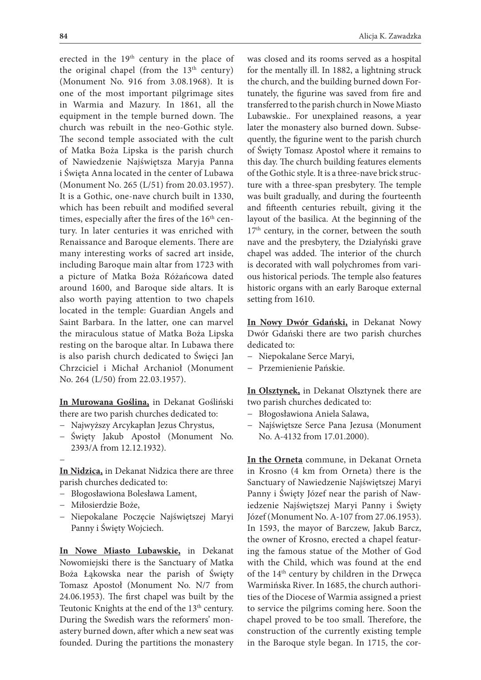erected in the 19<sup>th</sup> century in the place of the original chapel (from the  $13<sup>th</sup>$  century) (Monument No. 916 from 3.08.1968). It is one of the most important pilgrimage sites in Warmia and Mazury. In 1861, all the equipment in the temple burned down. The church was rebuilt in the neo-Gothic style. The second temple associated with the cult of Matka Boża Lipska is the parish church of Nawiedzenie Najświętsza Maryja Panna i Święta Anna located in the center of Lubawa (Monument No. 265 (L/51) from 20.03.1957). It is a Gothic, one-nave church built in 1330, which has been rebuilt and modified several times, especially after the fires of the 16<sup>th</sup> century. In later centuries it was enriched with Renaissance and Baroque elements. There are many interesting works of sacred art inside, including Baroque main altar from 1723 with a picture of Matka Boża Różańcowa dated around 1600, and Baroque side altars. It is also worth paying attention to two chapels located in the temple: Guardian Angels and Saint Barbara. In the latter, one can marvel the miraculous statue of Matka Boża Lipska resting on the baroque altar. In Lubawa there is also parish church dedicated to Święci Jan Chrzciciel i Michał Archanioł (Monument No. 264 (L/50) from 22.03.1957).

**In Murowana Goślina,** in Dekanat Gośliński there are two parish churches dedicated to:

- − Najwyższy Arcykapłan Jezus Chrystus,
- − Święty Jakub Apostoł (Monument No. 2393/A from 12.12.1932).

−

**In Nidzica,** in Dekanat Nidzica there are three parish churches dedicated to:

- − Błogosławiona Bolesława Lament,
- − Miłosierdzie Boże,
- − Niepokalane Poczęcie Najświętszej Maryi Panny i Święty Wojciech.

**In Nowe Miasto Lubawskie,** in Dekanat Nowomiejski there is the Sanctuary of Matka Boża Łąkowska near the parish of Święty Tomasz Apostoł (Monument No. N/7 from 24.06.1953). The first chapel was built by the Teutonic Knights at the end of the 13<sup>th</sup> century. During the Swedish wars the reformers' monastery burned down, after which a new seat was founded. During the partitions the monastery was closed and its rooms served as a hospital for the mentally ill. In 1882, a lightning struck the church, and the building burned down Fortunately, the figurine was saved from fire and transferred to the parish church in Nowe Miasto Lubawskie.. For unexplained reasons, a year later the monastery also burned down. Subsequently, the figurine went to the parish church of Święty Tomasz Apostoł where it remains to this day. The church building features elements of the Gothic style. It is a three-nave brick structure with a three-span presbytery. The temple was built gradually, and during the fourteenth and fifteenth centuries rebuilt, giving it the layout of the basilica. At the beginning of the 17<sup>th</sup> century, in the corner, between the south nave and the presbytery, the Działyński grave chapel was added. The interior of the church is decorated with wall polychromes from various historical periods. The temple also features historic organs with an early Baroque external setting from 1610.

**In Nowy Dwór Gdański,** in Dekanat Nowy Dwór Gdański there are two parish churches dedicated to:

- − Niepokalane Serce Maryi,
- − Przemienienie Pańskie.

**In Olsztynek,** in Dekanat Olsztynek there are two parish churches dedicated to:

- − Błogosławiona Aniela Salawa,
- − Najświętsze Serce Pana Jezusa (Monument No. A-4132 from 17.01.2000).

**In the Orneta** commune, in Dekanat Orneta in Krosno (4 km from Orneta) there is the Sanctuary of Nawiedzenie Najświętszej Maryi Panny i Święty Józef near the parish of Nawiedzenie Najświętszej Maryi Panny i Święty Józef (Monument No. A-107 from 27.06.1953). In 1593, the mayor of Barczew, Jakub Barcz, the owner of Krosno, erected a chapel featuring the famous statue of the Mother of God with the Child, which was found at the end of the 14th century by children in the Drwęca Warmińska River. In 1685, the church authorities of the Diocese of Warmia assigned a priest to service the pilgrims coming here. Soon the chapel proved to be too small. Therefore, the construction of the currently existing temple in the Baroque style began. In 1715, the cor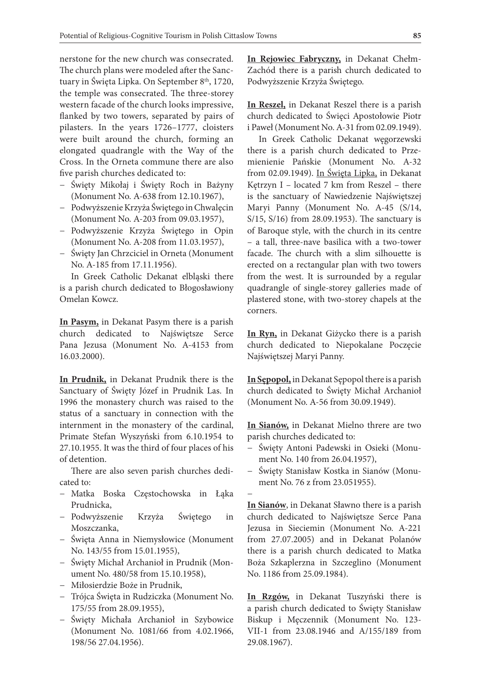nerstone for the new church was consecrated. The church plans were modeled after the Sanctuary in Święta Lipka. On September 8<sup>th</sup>, 1720, the temple was consecrated. The three-storey western facade of the church looks impressive, flanked by two towers, separated by pairs of pilasters. In the years 1726–1777, cloisters were built around the church, forming an elongated quadrangle with the Way of the Cross. In the Orneta commune there are also five parish churches dedicated to:

- − Święty Mikołaj i Święty Roch in Bażyny (Monument No. A-638 from 12.10.1967),
- − Podwyższenie Krzyża Świętego in Chwalęcin (Monument No. A-203 from 09.03.1957),
- − Podwyższenie Krzyża Świętego in Opin (Monument No. A-208 from 11.03.1957),
- − Święty Jan Chrzciciel in Orneta (Monument No. A-185 from 17.11.1956).

In Greek Catholic Dekanat elbląski there is a parish church dedicated to Błogosławiony Omelan Kowcz.

**In Pasym,** in Dekanat Pasym there is a parish church dedicated to Najświętsze Serce Pana Jezusa (Monument No. A-4153 from 16.03.2000).

**In Prudnik,** in Dekanat Prudnik there is the Sanctuary of Święty Józef in Prudnik Las. In 1996 the monastery church was raised to the status of a sanctuary in connection with the internment in the monastery of the cardinal, Primate Stefan Wyszyński from 6.10.1954 to 27.10.1955. It was the third of four places of his of detention.

There are also seven parish churches dedicated to:

- − Matka Boska Częstochowska in Łąka Prudnicka,
- − Podwyższenie Krzyża Świętego in Moszczanka,
- − Święta Anna in Niemysłowice (Monument No. 143/55 from 15.01.1955),
- − Święty Michał Archanioł in Prudnik (Monument No. 480/58 from 15.10.1958),
- − Miłosierdzie Boże in Prudnik,
- − Trójca Święta in Rudziczka (Monument No. 175/55 from 28.09.1955),
- − Święty Michała Archanioł in Szybowice (Monument No. 1081/66 from 4.02.1966, 198/56 27.04.1956).

**In Rejowiec Fabryczny,** in Dekanat Chełm-Zachód there is a parish church dedicated to Podwyższenie Krzyża Świętego.

**In Reszel,** in Dekanat Reszel there is a parish church dedicated to Święci Apostołowie Piotr i Paweł (Monument No. A-31 from 02.09.1949).

In Greek Catholic Dekanat węgorzewski there is a parish church dedicated to Przemienienie Pańskie (Monument No. A-32 from 02.09.1949). In Święta Lipka, in Dekanat Kętrzyn I – located 7 km from Reszel – there is the sanctuary of Nawiedzenie Najświętszej Maryi Panny (Monument No. A-45 (S/14, S/15, S/16) from 28.09.1953). The sanctuary is of Baroque style, with the church in its centre – a tall, three-nave basilica with a two-tower facade. The church with a slim silhouette is erected on a rectangular plan with two towers from the west. It is surrounded by a regular quadrangle of single-storey galleries made of plastered stone, with two-storey chapels at the corners.

**In Ryn,** in Dekanat Giżycko there is a parish church dedicated to Niepokalane Poczęcie Najświętszej Maryi Panny.

**In Sępopol,** in Dekanat Sępopol there is a parish church dedicated to Święty Michał Archanioł (Monument No. A-56 from 30.09.1949).

**In Sianów,** in Dekanat Mielno threre are two parish churches dedicated to:

- − Święty Antoni Padewski in Osieki (Monument No. 140 from 26.04.1957),
- − Święty Stanisław Kostka in Sianów (Monument No. 76 z from 23.051955).
- −

**In Sianów**, in Dekanat Sławno there is a parish church dedicated to Najświętsze Serce Pana Jezusa in Sieciemin (Monument No. A-221 from 27.07.2005) and in Dekanat Polanów there is a parish church dedicated to Matka Boża Szkaplerzna in Szczeglino (Monument No. 1186 from 25.09.1984).

**In Rzgów,** in Dekanat Tuszyński there is a parish church dedicated to Święty Stanisław Biskup i Męczennik (Monument No. 123- VII-1 from 23.08.1946 and A/155/189 from 29.08.1967).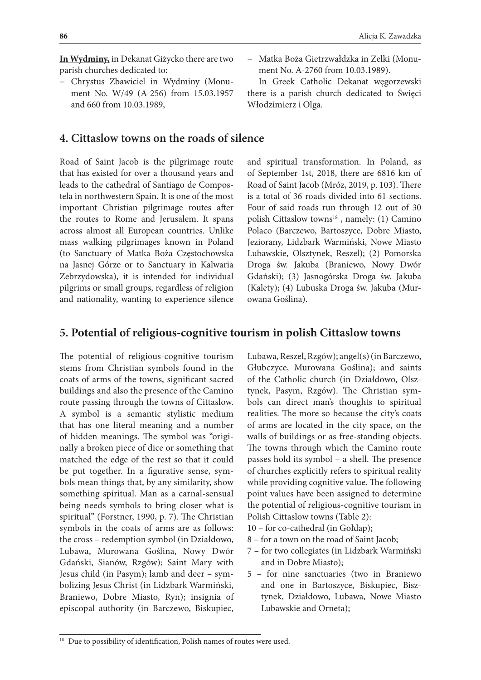**In Wydminy,** in Dekanat Giżycko there are two parish churches dedicated to:

− Chrystus Zbawiciel in Wydminy (Monument No. W/49 (A-256) from 15.03.1957 and 660 from 10.03.1989,

### **4. Cittaslow towns on the roads of silence**

Road of Saint Jacob is the pilgrimage route that has existed for over a thousand years and leads to the cathedral of Santiago de Compostela in northwestern Spain. It is one of the most important Christian pilgrimage routes after the routes to Rome and Jerusalem. It spans across almost all European countries. Unlike mass walking pilgrimages known in Poland (to Sanctuary of Matka Boża Częstochowska na Jasnej Górze or to Sanctuary in Kalwaria Zebrzydowska), it is intended for individual pilgrims or small groups, regardless of religion and nationality, wanting to experience silence

− Matka Boża Gietrzwałdzka in Zelki (Monument No. A-2760 from 10.03.1989).

In Greek Catholic Dekanat węgorzewski there is a parish church dedicated to Święci Włodzimierz i Olga.

and spiritual transformation. In Poland, as of September 1st, 2018, there are 6816 km of Road of Saint Jacob (Mróz, 2019, p. 103). There is a total of 36 roads divided into 61 sections. Four of said roads run through 12 out of 30 polish Cittaslow towns<sup>18</sup>, namely: (1) Camino Polaco (Barczewo, Bartoszyce, Dobre Miasto, Jeziorany, Lidzbark Warmiński, Nowe Miasto Lubawskie, Olsztynek, Reszel); (2) Pomorska Droga św. Jakuba (Braniewo, Nowy Dwór Gdański); (3) Jasnogórska Droga św. Jakuba (Kalety); (4) Lubuska Droga św. Jakuba (Murowana Goślina).

### **5. Potential of religious-cognitive tourism in polish Cittaslow towns**

The potential of religious-cognitive tourism stems from Christian symbols found in the coats of arms of the towns, significant sacred buildings and also the presence of the Camino route passing through the towns of Cittaslow. A symbol is a semantic stylistic medium that has one literal meaning and a number of hidden meanings. The symbol was "originally a broken piece of dice or something that matched the edge of the rest so that it could be put together. In a figurative sense, symbols mean things that, by any similarity, show something spiritual. Man as a carnal-sensual being needs symbols to bring closer what is spiritual" (Forstner, 1990, p. 7). The Christian symbols in the coats of arms are as follows: the cross – redemption symbol (in Działdowo, Lubawa, Murowana Goślina, Nowy Dwór Gdański, Sianów, Rzgów); Saint Mary with Jesus child (in Pasym); lamb and deer – symbolizing Jesus Christ (in Lidzbark Warmiński, Braniewo, Dobre Miasto, Ryn); insignia of episcopal authority (in Barczewo, Biskupiec,

Lubawa, Reszel, Rzgów); angel(s) (in Barczewo, Głubczyce, Murowana Goślina); and saints of the Catholic church (in Działdowo, Olsztynek, Pasym, Rzgów). The Christian symbols can direct man's thoughts to spiritual realities. The more so because the city's coats of arms are located in the city space, on the walls of buildings or as free-standing objects. The towns through which the Camino route passes hold its symbol – a shell. The presence of churches explicitly refers to spiritual reality while providing cognitive value. The following point values have been assigned to determine the potential of religious-cognitive tourism in Polish Cittaslow towns (Table 2):

- 10 for co-cathedral (in Gołdap);
- 8 for a town on the road of Saint Jacob;
- 7 for two collegiates (in Lidzbark Warmiński and in Dobre Miasto);
- 5 for nine sanctuaries (two in Braniewo and one in Bartoszyce, Biskupiec, Bisztynek, Działdowo, Lubawa, Nowe Miasto Lubawskie and Orneta);

<sup>&</sup>lt;sup>18</sup> Due to possibility of identification, Polish names of routes were used.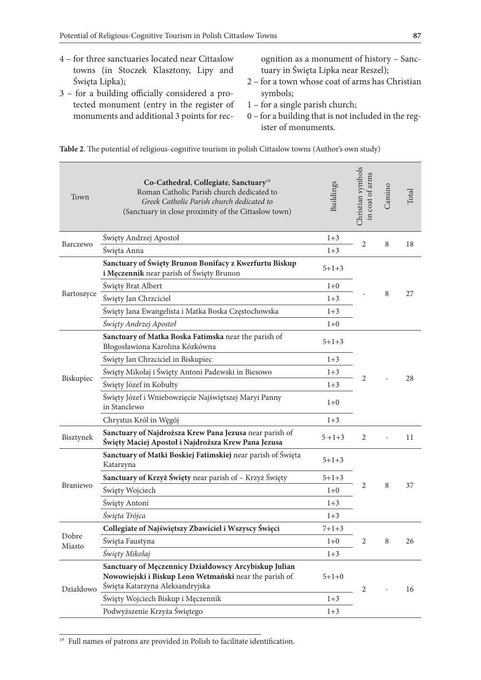- 4 for three sanctuaries located near Cittaslow towns (in Stoczek Klasztony, Lipy and Święta Lipka);
- 3 for a building officially considered a protected monument (entry in the register of monuments and additional 3 points for rec-
- ognition as a monument of history Sanctuary in Święta Lipka near Reszel);
- 2 for a town whose coat of arms has Christian symbols;
- 1 for a single parish church;
- 0 for a building that is not included in the register of monuments.

| Town            | Co-Cathedral, Collegiate, Sanctuary <sup>19</sup><br>Roman Catholic Parish church dedicated to<br>Greek Catholic Parish church dedicated to<br>(Sanctuary in close proximity of the Cittaslow town) | <b>Buildings</b> | Christian symbols<br>in coat of arms | Camino | Total |
|-----------------|-----------------------------------------------------------------------------------------------------------------------------------------------------------------------------------------------------|------------------|--------------------------------------|--------|-------|
| Barczewo        | Święty Andrzej Apostoł                                                                                                                                                                              | $1 + 3$          | $\overline{2}$                       | 8      | 18    |
|                 | Święta Anna                                                                                                                                                                                         | $1 + 3$          |                                      |        |       |
|                 | Sanctuary of Święty Brunon Bonifacy z Kwerfurtu Biskup<br>i Męczennik near parish of Święty Brunon                                                                                                  | $5 + 1 + 3$      |                                      |        |       |
|                 | Święty Brat Albert                                                                                                                                                                                  | $1 + 0$          |                                      |        |       |
| Bartoszyce      | Święty Jan Chrzciciel                                                                                                                                                                               | $1 + 3$          |                                      | 8      | 27    |
|                 | Święty Jana Ewangelista i Matka Boska Częstochowska                                                                                                                                                 | $1 + 3$          |                                      |        |       |
|                 | Święty Andrzej Apostoł                                                                                                                                                                              | $1 + 0$          |                                      |        |       |
| Biskupiec       | Sanctuary of Matka Boska Fatimska near the parish of<br>Błogosławiona Karolina Kózkówna                                                                                                             | $5 + 1 + 3$      |                                      |        |       |
|                 | Święty Jan Chrzciciel in Biskupiec                                                                                                                                                                  | $1 + 3$          |                                      |        |       |
|                 | Święty Mikołaj i Święty Antoni Padewski in Biesowo                                                                                                                                                  | $1 + 3$          |                                      |        | 28    |
|                 | Święty Józef in Kobułty                                                                                                                                                                             | $1 + 3$          | 2                                    |        |       |
|                 | Święty Józef i Wniebowzięcie Najświętszej Maryi Panny<br>in Stanclewo                                                                                                                               | $1+0$            |                                      |        |       |
|                 | Chrystus Król in Węgój                                                                                                                                                                              | $1 + 3$          |                                      |        |       |
| Bisztynek       | Sanctuary of Najdroższa Krew Pana Jezusa near parish of<br>Święty Maciej Apostoł i Najdroższa Krew Pana Jezusa                                                                                      | $5 + 1 + 3$      | $\overline{2}$                       |        | 11    |
| Braniewo        | Sanctuary of Matki Boskiej Fatimskiej near parish of Święta<br>Katarzyna                                                                                                                            | $5 + 1 + 3$      |                                      |        |       |
|                 | Sanctuary of Krzyż Święty near parish of – Krzyż Święty                                                                                                                                             | $5 + 1 + 3$      |                                      |        |       |
|                 | Święty Wojciech                                                                                                                                                                                     | $1+0$            | 2                                    | 8      | 37    |
|                 | Święty Antoni                                                                                                                                                                                       | $1 + 3$          |                                      |        |       |
|                 | Šwięta Trójca                                                                                                                                                                                       | $1 + 3$          |                                      |        |       |
| Dobre<br>Miasto | Collegiate of Najświętszy Zbawiciel i Wszyscy Święci                                                                                                                                                | $7 + 1 + 3$      |                                      | 8      |       |
|                 | Swięta Faustyna                                                                                                                                                                                     | $1+0$            | 2                                    |        | 26    |
|                 | Święty Mikołaj                                                                                                                                                                                      | $1 + 3$          |                                      |        |       |
| Działdowo       | Sanctuary of Męczennicy Działdowscy Arcybiskup Julian<br>Nowowiejski i Biskup Leon Wetmański near the parish of<br>Święta Katarzyna Aleksandryjska                                                  | $5+1+0$          | 2                                    |        | 16    |
|                 | Święty Wojciech Biskup i Męczennik                                                                                                                                                                  | $1 + 3$          |                                      |        |       |
|                 | Podwyższenie Krzyża Świętego                                                                                                                                                                        | $1 + 3$          |                                      |        |       |

**Table 2**. The potential of religious-cognitive tourism in polish Cittaslow towns (Author's own study)

<sup>19</sup> Full names of patrons are provided in Polish to facilitate identification.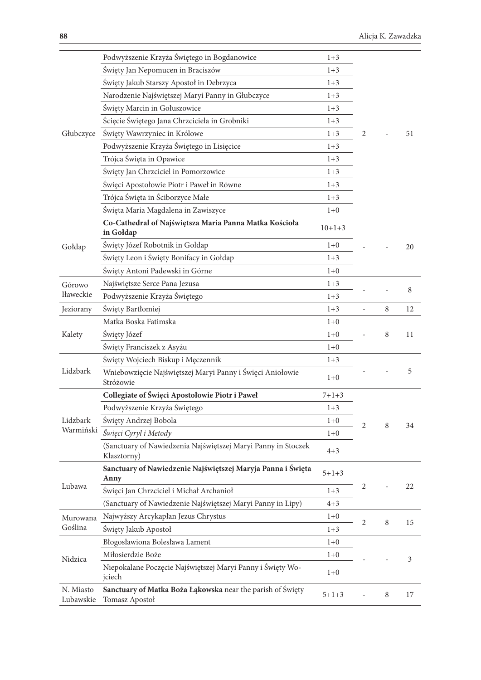|                        | Podwyższenie Krzyża Świętego in Bogdanowice                                  | $1 + 3$     |   |        |    |
|------------------------|------------------------------------------------------------------------------|-------------|---|--------|----|
|                        | Święty Jan Nepomucen in Braciszów                                            | $1 + 3$     |   |        |    |
|                        | Święty Jakub Starszy Apostoł in Debrzyca                                     | $1 + 3$     |   |        |    |
|                        | Narodzenie Najświętszej Maryi Panny in Głubczyce                             | $1 + 3$     |   |        |    |
|                        | Święty Marcin in Gołuszowice                                                 | $1 + 3$     |   |        |    |
|                        | Ścięcie Świętego Jana Chrzciciela in Grobniki                                | $1 + 3$     |   |        |    |
| Głubczyce              | Święty Wawrzyniec in Królowe                                                 | $1 + 3$     | 2 |        | 51 |
|                        | Podwyższenie Krzyża Świętego in Lisięcice                                    | $1 + 3$     |   |        |    |
|                        | Trójca Święta in Opawice                                                     | $1 + 3$     |   |        |    |
|                        | Święty Jan Chrzciciel in Pomorzowice                                         | $1 + 3$     |   |        |    |
|                        | Święci Apostołowie Piotr i Paweł in Równe                                    | $1 + 3$     |   |        |    |
|                        | Trójca Święta in Ściborzyce Małe                                             | $1 + 3$     |   |        |    |
|                        | Święta Maria Magdalena in Zawiszyce                                          | $1 + 0$     |   |        |    |
|                        | Co-Cathedral of Najświętsza Maria Panna Matka Kościoła<br>in Gołdap          | $10+1+3$    |   |        |    |
| Gołdap                 | Święty Józef Robotnik in Gołdap                                              | $1 + 0$     |   |        | 20 |
|                        | Święty Leon i Święty Bonifacy in Gołdap                                      | $1 + 3$     |   |        |    |
|                        | Święty Antoni Padewski in Górne                                              | $1 + 0$     |   |        |    |
| Górowo                 | Najświętsze Serce Pana Jezusa                                                | $1 + 3$     |   |        |    |
| Iławeckie              | Podwyższenie Krzyża Świętego                                                 | $1 + 3$     |   |        | 8  |
| Jeziorany              | Święty Bartłomiej                                                            | $1 + 3$     |   | 8      | 12 |
|                        | Matka Boska Fatimska                                                         | $1 + 0$     |   | 8      |    |
| Kalety                 | Święty Józef                                                                 | $1 + 0$     |   |        | 11 |
|                        | Święty Franciszek z Asyżu                                                    | $1 + 0$     |   |        |    |
|                        | Święty Wojciech Biskup i Męczennik                                           | $1 + 3$     |   |        |    |
| Lidzbark               | Wniebowzięcie Najświętszej Maryi Panny i Święci Aniołowie<br>Stróżowie       | $1 + 0$     |   |        | 5  |
|                        | Collegiate of Święci Apostołowie Piotr i Paweł                               | $7 + 1 + 3$ |   |        |    |
| Lidzbark<br>Warmiński  | Podwyższenie Krzyża Świętego                                                 | $1 + 3$     |   |        |    |
|                        | Święty Andrzej Bobola                                                        | $1 + 0$     | 2 | 8      | 34 |
|                        | Święci Cyryl i Metody                                                        | $1 + 0$     |   |        |    |
|                        | (Sanctuary of Nawiedzenia Najświętszej Maryi Panny in Stoczek<br>Klasztorny) | $4 + 3$     |   |        |    |
| Lubawa                 | Sanctuary of Nawiedzenie Najświętszej Maryja Panna i Święta<br>Anny          | $5 + 1 + 3$ |   |        |    |
|                        | Święci Jan Chrzciciel i Michał Archanioł                                     | $1 + 3$     | 2 |        | 22 |
|                        | (Sanctuary of Nawiedzenie Najświętszej Maryi Panny in Lipy)                  | $4 + 3$     |   |        |    |
| Murowana               | Najwyższy Arcykapłan Jezus Chrystus                                          | $1 + 0$     |   |        |    |
| Goślina                | Święty Jakub Apostoł                                                         | $1 + 3$     | 2 | $\, 8$ | 15 |
|                        | Błogosławiona Bolesława Lament                                               | $1 + 0$     |   |        |    |
| Nidzica                | Miłosierdzie Boże                                                            | $1 + 0$     |   |        | 3  |
|                        | Niepokalane Poczęcie Najświętszej Maryi Panny i Święty Wo-<br>jciech         | $1+0$       |   |        |    |
| N. Miasto<br>Lubawskie | Sanctuary of Matka Boża Łąkowska near the parish of Święty<br>Tomasz Apostoł | $5 + 1 + 3$ |   | 8      | 17 |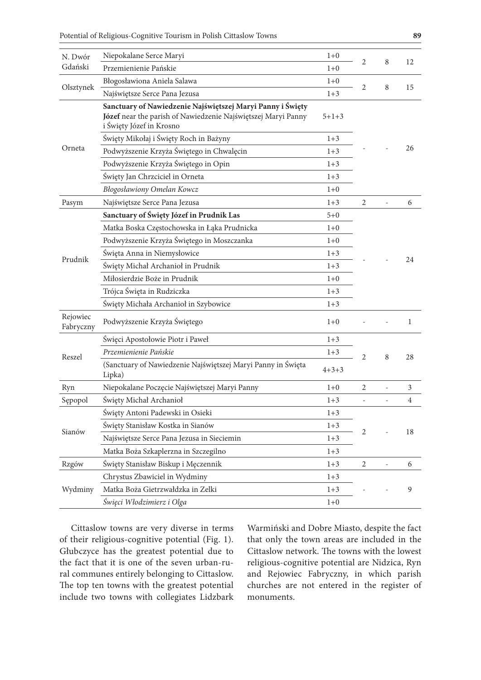| N. Dwór               | Niepokalane Serce Maryi                                                                                                                                 | $1+0$       |                | 8              |                |
|-----------------------|---------------------------------------------------------------------------------------------------------------------------------------------------------|-------------|----------------|----------------|----------------|
| Gdański               | Przemienienie Pańskie                                                                                                                                   | $1 + 0$     | 2              |                | 12             |
|                       | Błogosławiona Aniela Salawa                                                                                                                             | $1 + 0$     | $\overline{2}$ |                |                |
| Olsztynek             | Najświętsze Serce Pana Jezusa                                                                                                                           | $1 + 3$     |                | 8              | 15             |
|                       | Sanctuary of Nawiedzenie Najświętszej Maryi Panny i Święty<br>Józef near the parish of Nawiedzenie Najświętszej Maryi Panny<br>i Święty Józef in Krosno | $5+1+3$     |                |                |                |
|                       | Święty Mikołaj i Święty Roch in Bażyny                                                                                                                  | $1 + 3$     |                |                |                |
| Orneta                | Podwyższenie Krzyża Świętego in Chwalęcin                                                                                                               | $1 + 3$     |                |                | 26             |
|                       | Podwyższenie Krzyża Świętego in Opin                                                                                                                    | $1 + 3$     |                |                |                |
|                       | Święty Jan Chrzciciel in Orneta                                                                                                                         | $1 + 3$     |                |                |                |
|                       | <b>Błogosławiony Omelan Kowcz</b>                                                                                                                       | $1 + 0$     |                |                |                |
| Pasym                 | Najświętsze Serce Pana Jezusa                                                                                                                           | $1 + 3$     | 2              | L,             | 6              |
|                       | Sanctuary of Święty Józef in Prudnik Las                                                                                                                | $5 + 0$     |                |                |                |
| Prudnik               | Matka Boska Częstochowska in Łąka Prudnicka                                                                                                             | $1 + 0$     |                |                |                |
|                       | Podwyższenie Krzyża Świętego in Moszczanka                                                                                                              | $1+0$       |                |                |                |
|                       | Święta Anna in Niemysłowice                                                                                                                             | $1 + 3$     |                |                |                |
|                       | Święty Michał Archanioł in Prudnik                                                                                                                      | $1 + 3$     |                |                | 24             |
|                       | Miłosierdzie Boże in Prudnik                                                                                                                            | $1+0$       |                |                |                |
|                       | Trójca Święta in Rudziczka                                                                                                                              | $1 + 3$     |                |                |                |
|                       | Święty Michała Archanioł in Szybowice                                                                                                                   | $1 + 3$     |                |                |                |
| Rejowiec<br>Fabryczny | Podwyższenie Krzyża Świętego                                                                                                                            | $1+0$       |                |                | 1              |
|                       | Święci Apostołowie Piotr i Paweł                                                                                                                        | $1 + 3$     |                |                |                |
| Reszel                | Przemienienie Pańskie                                                                                                                                   | $1 + 3$     | $\overline{2}$ | 8              | 28             |
|                       | (Sanctuary of Nawiedzenie Najświętszej Maryi Panny in Święta<br>Lipka)                                                                                  | $4 + 3 + 3$ |                |                |                |
| Ryn                   | Niepokalane Poczęcie Najświętszej Maryi Panny                                                                                                           | $1+0$       | $\overline{2}$ | $\overline{a}$ | 3              |
| Sępopol               | Święty Michał Archanioł                                                                                                                                 | $1 + 3$     |                |                | $\overline{4}$ |
| Sianów                | Święty Antoni Padewski in Osieki                                                                                                                        | $1 + 3$     |                |                |                |
|                       | Święty Stanisław Kostka in Sianów                                                                                                                       | $1 + 3$     |                |                |                |
|                       | Najświętsze Serce Pana Jezusa in Sieciemin                                                                                                              | $1 + 3$     | 2              |                | 18             |
|                       | Matka Boża Szkaplerzna in Szczegilno                                                                                                                    | $1 + 3$     |                |                |                |
| Rzgów                 | Święty Stanisław Biskup i Męczennik                                                                                                                     | $1 + 3$     | 2              |                | 6              |
|                       | Chrystus Zbawiciel in Wydminy                                                                                                                           | $1 + 3$     |                |                |                |
| Wydminy               | Matka Boża Gietrzwałdzka in Zelki                                                                                                                       | $1 + 3$     |                |                | 9              |
|                       | Święci Włodzimierz i Olga                                                                                                                               | $1 + 0$     |                |                |                |

Cittaslow towns are very diverse in terms of their religious-cognitive potential (Fig. 1). Głubczyce has the greatest potential due to the fact that it is one of the seven urban-rural communes entirely belonging to Cittaslow. The top ten towns with the greatest potential include two towns with collegiates Lidzbark

Warmiński and Dobre Miasto, despite the fact that only the town areas are included in the Cittaslow network. The towns with the lowest religious-cognitive potential are Nidzica, Ryn and Rejowiec Fabryczny, in which parish churches are not entered in the register of monuments.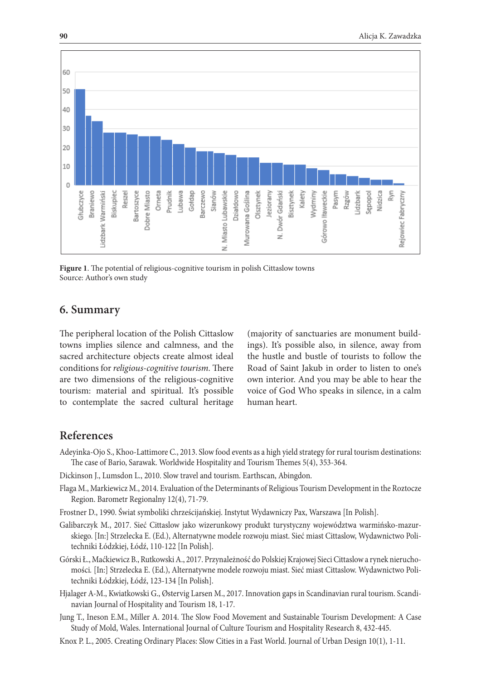

**Figure 1**. The potential of religious-cognitive tourism in polish Cittaslow towns Source: Author's own study

#### **6. Summary**

The peripheral location of the Polish Cittaslow towns implies silence and calmness, and the sacred architecture objects create almost ideal conditions for *religious-cognitive tourism.* There are two dimensions of the religious-cognitive tourism: material and spiritual. It's possible to contemplate the sacred cultural heritage

(majority of sanctuaries are monument buildings). It's possible also, in silence, away from the hustle and bustle of tourists to follow the Road of Saint Jakub in order to listen to one's own interior. And you may be able to hear the voice of God Who speaks in silence, in a calm human heart.

#### **References**

- Adeyinka-Ojo S., Khoo-Lattimore C., 2013. Slow food events as a high yield strategy for rural tourism destinations: The case of Bario, Sarawak. Worldwide Hospitality and Tourism Themes 5(4), 353-364.
- Dickinson J., Lumsdon L., 2010. Slow travel and tourism. Earthscan, Abingdon.
- Flaga M., Markiewicz M., 2014. Evaluation of the Determinants of Religious Tourism Development in the Roztocze Region. Barometr Regionalny 12(4), 71-79.
- Frostner D., 1990. Świat symboliki chrześcijańskiej. Instytut Wydawniczy Pax, Warszawa [In Polish].
- Galibarczyk M., 2017. Sieć Cittaslow jako wizerunkowy produkt turystyczny województwa warmińsko-mazurskiego. [In:] Strzelecka E. (Ed.), Alternatywne modele rozwoju miast. Sieć miast Cittaslow, Wydawnictwo Politechniki Łódzkiej, Łódź, 110-122 [In Polish].
- Górski Ł., Maćkiewicz B., Rutkowski A., 2017. Przynależność do Polskiej Krajowej Sieci Cittaslow a rynek nieruchomości*.* [In:] Strzelecka E. (Ed.), Alternatywne modele rozwoju miast. Sieć miast Cittaslow. Wydawnictwo Politechniki Łódzkiej, Łódź, 123-134 [In Polish].
- Hjalager A-M., Kwiatkowski G., Østervig Larsen M., 2017. Innovation gaps in Scandinavian rural tourism. Scandinavian Journal of Hospitality and Tourism 18, 1-17.
- Jung T., Ineson E.M., Miller A. 2014. The Slow Food Movement and Sustainable Tourism Development: A Case Study of Mold, Wales. International Journal of Culture Tourism and Hospitality Research 8, 432-445.
- Knox P. L., 2005. Creating Ordinary Places: Slow Cities in a Fast World. Journal of Urban Design 10(1), 1-11.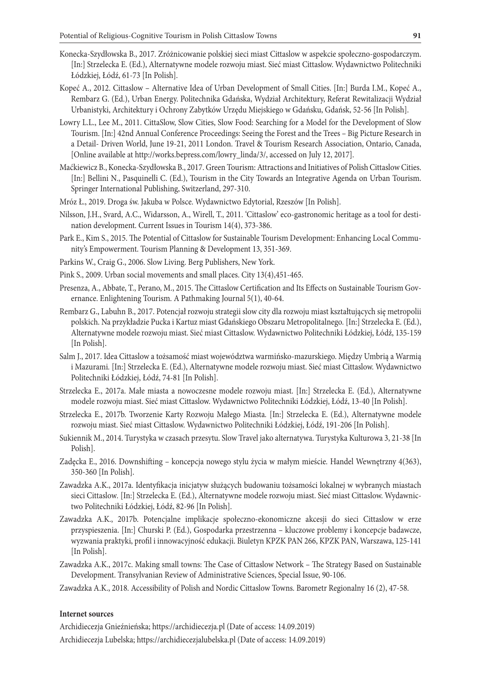- Konecka-Szydłowska B., 2017. Zróżnicowanie polskiej sieci miast Cittaslow w aspekcie społeczno-gospodarczym. [In:] Strzelecka E. (Ed.), Alternatywne modele rozwoju miast. Sieć miast Cittaslow. Wydawnictwo Politechniki Łódzkiej, Łódź, 61-73 [In Polish].
- Kopeć A., 2012. Cittaslow Alternative Idea of Urban Development of Small Cities. [In:] Burda I.M., Kopeć A., Rembarz G. (Ed.), Urban Energy. Politechnika Gdańska, Wydział Architektury, Referat Rewitalizacji Wydział Urbanistyki, Architektury i Ochrony Zabytków Urzędu Miejskiego w Gdańsku, Gdańsk, 52-56 [In Polish].
- Lowry L.L., Lee M., 2011. CittaSlow, Slow Cities, Slow Food: Searching for a Model for the Development of Slow Tourism. [In:] 42nd Annual Conference Proceedings: Seeing the Forest and the Trees – Big Picture Research in a Detail- Driven World, June 19-21, 2011 London. Travel & Tourism Research Association, Ontario, Canada, [Online available at http://works.bepress.com/lowry\_linda/3/, accessed on July 12, 2017].
- Maćkiewicz B., Konecka-Szydłowska B., 2017. Green Tourism: Attractions and Initiatives of Polish Cittaslow Cities. [In:] Bellini N., Pasquinelli C. (Ed.), Tourism in the City Towards an Integrative Agenda on Urban Tourism. Springer International Publishing, Switzerland, 297-310.
- Mróz Ł., 2019. Droga św. Jakuba w Polsce. Wydawnictwo Edytorial, Rzeszów [In Polish].
- Nilsson, J.H., Svard, A.C., Widarsson, A., Wirell, T., 2011. 'Cittaslow' eco-gastronomic heritage as a tool for destination development. Current Issues in Tourism 14(4), 373-386.
- Park E., Kim S., 2015. The Potential of Cittaslow for Sustainable Tourism Development: Enhancing Local Community's Empowerment. Tourism Planning & Development 13, 351-369.
- Parkins W., Craig G., 2006. Slow Living. Berg Publishers, New York.
- Pink S., 2009. Urban social movements and small places. City 13(4),451-465.
- Presenza, A., Abbate, T., Perano, M., 2015. The Cittaslow Certification and Its Effects on Sustainable Tourism Governance. Enlightening Tourism. A Pathmaking Journal 5(1), 40-64.
- Rembarz G., Labuhn B., 2017. Potencjał rozwoju strategii slow city dla rozwoju miast kształtujących się metropolii polskich. Na przykładzie Pucka i Kartuz miast Gdańskiego Obszaru Metropolitalnego*.* [In:] Strzelecka E. (Ed.), Alternatywne modele rozwoju miast. Sieć miast Cittaslow. Wydawnictwo Politechniki Łódzkiej, Łódź, 135-159 [In Polish].
- Salm J., 2017. Idea Cittaslow a tożsamość miast województwa warmińsko-mazurskiego. Między Umbrią a Warmią i Mazurami*.* [In:] Strzelecka E. (Ed.), Alternatywne modele rozwoju miast. Sieć miast Cittaslow. Wydawnictwo Politechniki Łódzkiej, Łódź, 74-81 [In Polish].
- Strzelecka E., 2017a. Małe miasta a nowoczesne modele rozwoju miast. [In:] Strzelecka E. (Ed.), Alternatywne modele rozwoju miast. Sieć miast Cittaslow. Wydawnictwo Politechniki Łódzkiej, Łódź, 13-40 [In Polish].
- Strzelecka E., 2017b. Tworzenie Karty Rozwoju Małego Miasta*.* [In:] Strzelecka E. (Ed.), Alternatywne modele rozwoju miast. Sieć miast Cittaslow. Wydawnictwo Politechniki Łódzkiej, Łódź, 191-206 [In Polish].
- Sukiennik M., 2014. Turystyka w czasach przesytu. Slow Travel jako alternatywa. Turystyka Kulturowa 3, 21-38 [In Polish].
- Zadęcka E., 2016. Downshifting koncepcja nowego stylu życia w małym mieście*.* Handel Wewnętrzny 4(363), 350-360 [In Polish].
- Zawadzka A.K., 2017a. Identyfikacja inicjatyw służących budowaniu tożsamości lokalnej w wybranych miastach sieci Cittaslow*.* [In:] Strzelecka E. (Ed.), Alternatywne modele rozwoju miast. Sieć miast Cittaslow. Wydawnictwo Politechniki Łódzkiej, Łódź, 82-96 [In Polish].
- Zawadzka A.K., 2017b. Potencjalne implikacje społeczno-ekonomiczne akcesji do sieci Cittaslow w erze przyspieszenia. [In:] Churski P. (Ed.), Gospodarka przestrzenna – kluczowe problemy i koncepcje badawcze, wyzwania praktyki, profil i innowacyjność edukacji. Biuletyn KPZK PAN 266, KPZK PAN, Warszawa, 125-141 [In Polish].
- Zawadzka A.K., 2017c. Making small towns: The Case of Cittaslow Network The Strategy Based on Sustainable Development. Transylvanian Review of Administrative Sciences, Special Issue, 90-106.
- Zawadzka A.K., 2018. Accessibility of Polish and Nordic Cittaslow Towns. Barometr Regionalny 16 (2), 47-58.

#### **Internet sources**

Archidiecezja Gnieźnieńska; https://archidiecezja.pl (Date of access: 14.09.2019)

Archidiecezja Lubelska; https://archidiecezjalubelska.pl (Date of access: 14.09.2019)